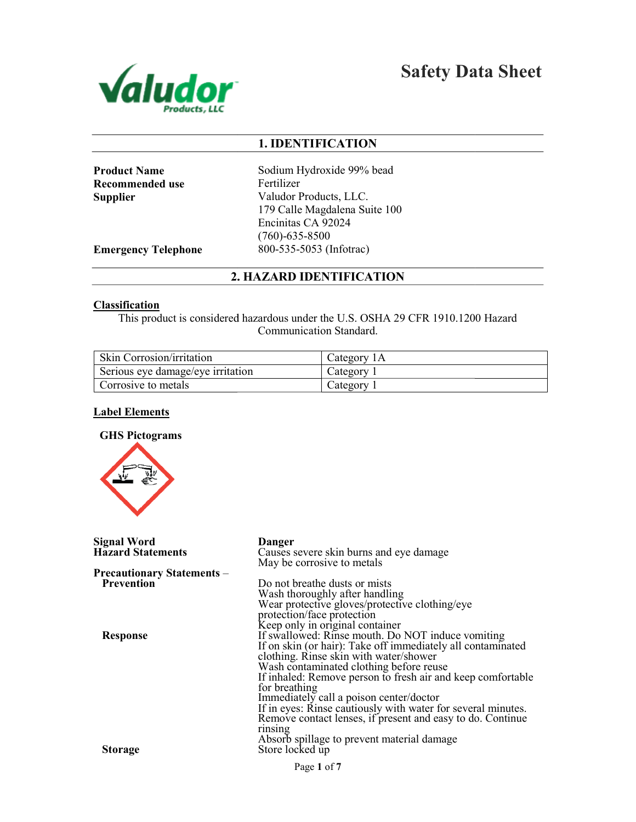

Safety Data Sheet

## 1. IDENTIFICATION

| <b>Product Name</b> |
|---------------------|
| Recommended use     |
| Supplier            |

Sodium Hydroxide 99% bead Fertilizer Valudor Products, LLC. 179 Calle Magdalena Suite 100 Encinitas CA 92024 (760)-635-8500 800-535-5053 (Infotrac)

Emergency Telephone

## 2. HAZARD IDENTIFICATION

#### **Classification**

This product is considered hazardous under the U.S. OSHA 29 CFR 1910.1200 Hazard Communication Standard.

| Skin Corrosion/irritation         | Category <sub>1</sub> A |
|-----------------------------------|-------------------------|
| Serious eye damage/eye irritation | Category                |
| Corrosive to metals               | Category                |

## Label Elements

## GHS Pictograms



| <b>Signal Word</b>                | Danger                                                                               |
|-----------------------------------|--------------------------------------------------------------------------------------|
| <b>Hazard Statements</b>          | Causes severe skin burns and eye damage<br>May be corrosive to metals                |
| <b>Precautionary Statements –</b> |                                                                                      |
| Prevention                        | Do not breathe dusts or mists                                                        |
|                                   |                                                                                      |
|                                   | Wash thoroughly after handling<br>Wear protective gloves/protective clothing/eye     |
|                                   |                                                                                      |
|                                   | protection/face protection                                                           |
|                                   | Keep only in original container<br>If swallowed: Rinse mouth. Do NOT induce vomiting |
| <b>Response</b>                   |                                                                                      |
|                                   | If on skin (or hair): Take off immediately all contaminated                          |
|                                   | clothing. Rinse skin with water/shower                                               |
|                                   | Wash contaminated clothing before reuse                                              |
|                                   | If inhaled: Remove person to fresh air and keep comfortable                          |
|                                   | for breathing                                                                        |
|                                   |                                                                                      |
|                                   | Immediately call a poison center/doctor                                              |
|                                   | If in eyes: Rinse cautiously with water for several minutes.                         |
|                                   | Remove contact lenses, if present and easy to do. Continue                           |
|                                   | rinsing                                                                              |
|                                   | Absorb spillage to prevent material damage                                           |
| <b>Storage</b>                    | Store locked up                                                                      |
|                                   |                                                                                      |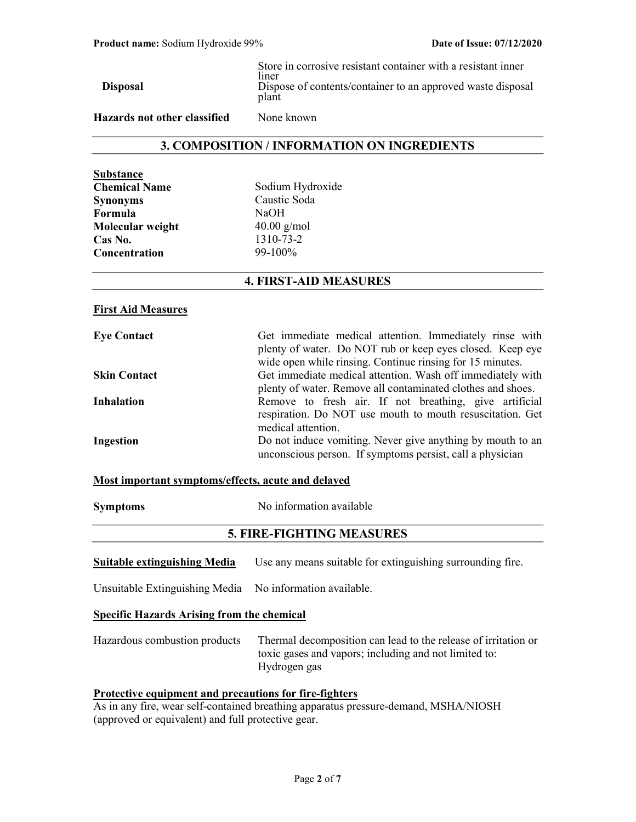| <b>Disposal</b>              | Store in corrosive resistant container with a resistant inner<br>liner<br>Dispose of contents/container to an approved waste disposal<br>plant |
|------------------------------|------------------------------------------------------------------------------------------------------------------------------------------------|
| Hazards not other classified | None known                                                                                                                                     |

## 3. COMPOSITION / INFORMATION ON INGREDIENTS

| Su <u>bstance</u>    |
|----------------------|
| <b>Chemical Name</b> |
| Synonyms             |
| Formula              |
| Molecular weight     |
| Cas No.              |
| Concentration        |

Sodium Hydroxide Caustic Soda NaOH  $40.00$  g/mol  $1310 - 73 - 2$ 99-100<sup>%</sup>

### 4. FIRST-AID MEASURES

#### First Aid Measures

| <b>Eye Contact</b>  | Get immediate medical attention. Immediately rinse with     |
|---------------------|-------------------------------------------------------------|
|                     | plenty of water. Do NOT rub or keep eyes closed. Keep eye   |
|                     | wide open while rinsing. Continue rinsing for 15 minutes.   |
| <b>Skin Contact</b> | Get immediate medical attention. Wash off immediately with  |
|                     | plenty of water. Remove all contaminated clothes and shoes. |
| <b>Inhalation</b>   | Remove to fresh air. If not breathing, give artificial      |
|                     | respiration. Do NOT use mouth to mouth resuscitation. Get   |
|                     | medical attention.                                          |
| Ingestion           | Do not induce vomiting. Never give anything by mouth to an  |
|                     | unconscious person. If symptoms persist, call a physician   |

### Most important symptoms/effects, acute and delayed

Symptoms No information available

## 5. FIRE-FIGHTING MEASURES

**Suitable extinguishing Media** Use any means suitable for extinguishing surrounding fire.

Unsuitable Extinguishing Media No information available.

#### Specific Hazards Arising from the chemical

Hazardous combustion products Thermal decomposition can lead to the release of irritation or toxic gases and vapors; including and not limited to: Hydrogen gas

## Protective equipment and precautions for fire-fighters

As in any fire, wear self-contained breathing apparatus pressure-demand, MSHA/NIOSH (approved or equivalent) and full protective gear.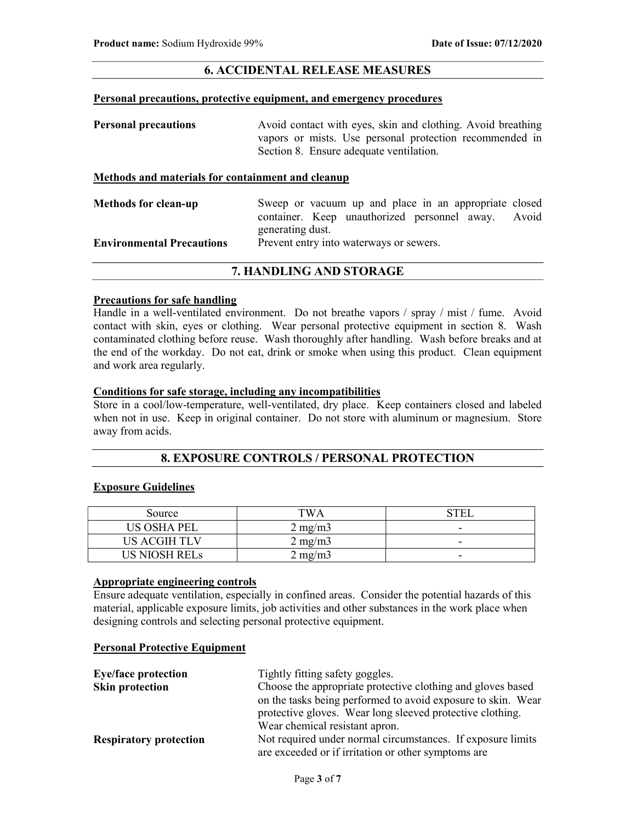## 6. ACCIDENTAL RELEASE MEASURES

#### Personal precautions, protective equipment, and emergency procedures

| <b>Personal precautions</b>                       | Avoid contact with eyes, skin and clothing. Avoid breathing<br>vapors or mists. Use personal protection recommended in<br>Section 8. Ensure adequate ventilation. |  |
|---------------------------------------------------|-------------------------------------------------------------------------------------------------------------------------------------------------------------------|--|
| Methods and materials for containment and cleanup |                                                                                                                                                                   |  |
| <b>Methods for clean-up</b>                       | Sweep or vacuum up and place in an appropriate closed                                                                                                             |  |

| Methods for clean-up             |                  | Sweep or vacuum up and place in an appropriate closed |  |  |
|----------------------------------|------------------|-------------------------------------------------------|--|--|
|                                  |                  | container. Keep unauthorized personnel away. Avoid    |  |  |
|                                  | generating dust. |                                                       |  |  |
| <b>Environmental Precautions</b> |                  | Prevent entry into waterways or sewers.               |  |  |
|                                  |                  |                                                       |  |  |

## 7. HANDLING AND STORAGE

## Precautions for safe handling

Handle in a well-ventilated environment. Do not breathe vapors / spray / mist / fume. Avoid contact with skin, eyes or clothing. Wear personal protective equipment in section 8. Wash contaminated clothing before reuse. Wash thoroughly after handling. Wash before breaks and at the end of the workday. Do not eat, drink or smoke when using this product. Clean equipment and work area regularly.

### Conditions for safe storage, including any incompatibilities

Store in a cool/low-temperature, well-ventilated, dry place. Keep containers closed and labeled when not in use. Keep in original container. Do not store with aluminum or magnesium. Store away from acids.

## 8. EXPOSURE CONTROLS / PERSONAL PROTECTION

### Exposure Guidelines

| Source             | TWA              | `H`                      |
|--------------------|------------------|--------------------------|
| <b>US OSHA PEL</b> | $2 \text{ mg/m}$ | -                        |
| US ACGIH TLV       | $2 \text{ mg/m}$ | $\sim$                   |
| I IS NIOSH REI e   | $2 \text{ mg/m}$ | $\overline{\phantom{0}}$ |

### Appropriate engineering controls

Ensure adequate ventilation, especially in confined areas. Consider the potential hazards of this material, applicable exposure limits, job activities and other substances in the work place when designing controls and selecting personal protective equipment.

#### Personal Protective Equipment

| <b>Eye/face protection</b>    | Tightly fitting safety goggles.                              |  |
|-------------------------------|--------------------------------------------------------------|--|
| <b>Skin protection</b>        | Choose the appropriate protective clothing and gloves based  |  |
|                               | on the tasks being performed to avoid exposure to skin. Wear |  |
|                               | protective gloves. Wear long sleeved protective clothing.    |  |
|                               | Wear chemical resistant apron.                               |  |
| <b>Respiratory protection</b> | Not required under normal circumstances. If exposure limits  |  |
|                               | are exceeded or if irritation or other symptoms are          |  |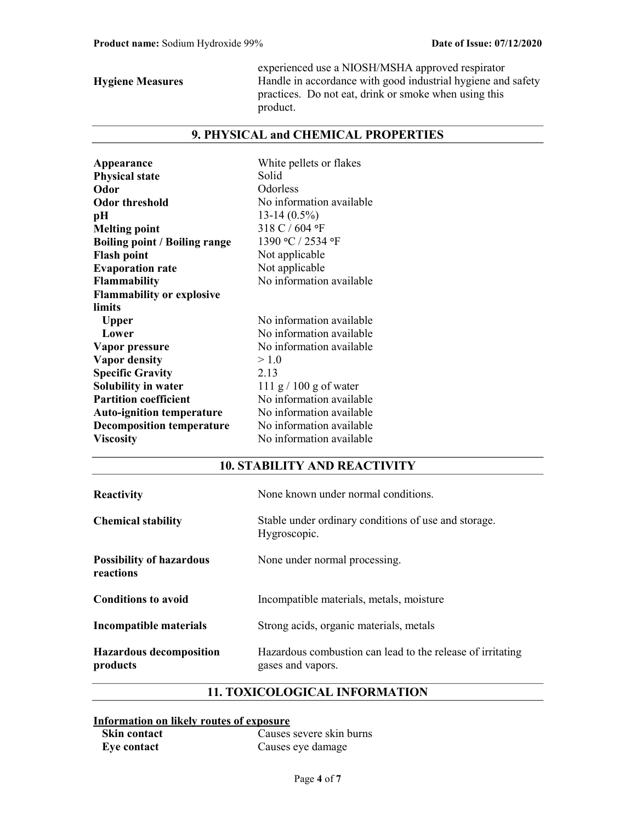experienced use a NIOSH/MSHA approved respirator Hygiene Measures Handle in accordance with good industrial hygiene and safety practices. Do not eat, drink or smoke when using this product.

## 9. PHYSICAL and CHEMICAL PROPERTIES

| Appearance                           | White pellets or flakes  |
|--------------------------------------|--------------------------|
| <b>Physical state</b>                | Solid                    |
| Odor                                 | Odorless                 |
| <b>Odor threshold</b>                | No information available |
| pН                                   | $13-14(0.5\%)$           |
| <b>Melting point</b>                 | 318 C / 604 °F           |
| <b>Boiling point / Boiling range</b> | 1390 °C / 2534 °F        |
| <b>Flash point</b>                   | Not applicable           |
| <b>Evaporation rate</b>              | Not applicable           |
| <b>Flammability</b>                  | No information available |
| <b>Flammability or explosive</b>     |                          |
| limits                               |                          |
| <b>Upper</b>                         | No information available |
| Lower                                | No information available |
| Vapor pressure                       | No information available |
| <b>Vapor density</b>                 | > 1.0                    |
| <b>Specific Gravity</b>              | 2.13                     |
| Solubility in water                  | 111 g $/$ 100 g of water |
| <b>Partition coefficient</b>         | No information available |
| <b>Auto-ignition temperature</b>     | No information available |
| <b>Decomposition temperature</b>     | No information available |
| <b>Viscosity</b>                     | No information available |

## 10. STABILITY AND REACTIVITY

| <b>Reactivity</b>                            | None known under normal conditions.                                             |
|----------------------------------------------|---------------------------------------------------------------------------------|
| <b>Chemical stability</b>                    | Stable under ordinary conditions of use and storage.<br>Hygroscopic.            |
| <b>Possibility of hazardous</b><br>reactions | None under normal processing.                                                   |
| <b>Conditions to avoid</b>                   | Incompatible materials, metals, moisture                                        |
| Incompatible materials                       | Strong acids, organic materials, metals                                         |
| <b>Hazardous decomposition</b><br>products   | Hazardous combustion can lead to the release of irritating<br>gases and vapors. |

## 11. TOXICOLOGICAL INFORMATION

## Information on likely routes of exposure

| <b>Skin contact</b> | Causes severe skin burns |
|---------------------|--------------------------|
| Eye contact         | Causes eye damage        |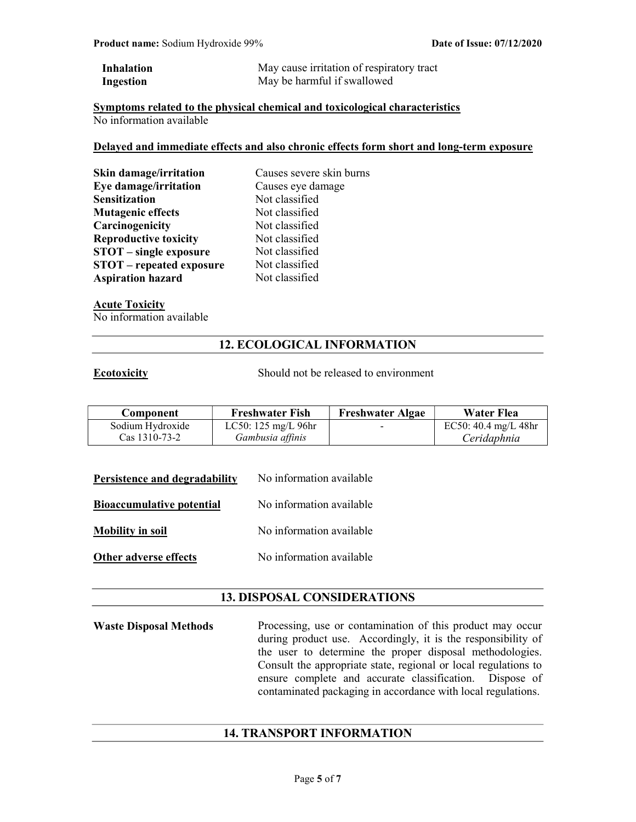| <b>Inhalation</b> | May cause irritation of respiratory tract |
|-------------------|-------------------------------------------|
| Ingestion         | May be harmful if swallowed               |

#### Symptoms related to the physical chemical and toxicological characteristics No information available

#### Delayed and immediate effects and also chronic effects form short and long-term exposure

| Skin damage/irritation          | Causes severe skin burns<br>Causes eye damage |  |
|---------------------------------|-----------------------------------------------|--|
| Eye damage/irritation           |                                               |  |
| <b>Sensitization</b>            | Not classified                                |  |
| <b>Mutagenic effects</b>        | Not classified                                |  |
| Carcinogenicity                 | Not classified                                |  |
| <b>Reproductive toxicity</b>    | Not classified                                |  |
| STOT – single exposure          | Not classified                                |  |
| <b>STOT</b> – repeated exposure | Not classified                                |  |
| <b>Aspiration hazard</b>        | Not classified                                |  |
|                                 |                                               |  |

# Acute Toxicity

No information available

## 12. ECOLOGICAL INFORMATION

Ecotoxicity Should not be released to environment

| Component               | <b>Freshwater Fish</b>        | <b>Freshwater Algae</b> | Water Flea                               |
|-------------------------|-------------------------------|-------------------------|------------------------------------------|
| Sodium Hydroxide        | LC50: $125 \text{ mg/L}$ 96hr | $\sim$                  | EC50: $40.4 \text{ mg/L}$ $48 \text{hr}$ |
| $\text{Cas } 1310-73-2$ | Gambusia affinis              |                         | Ceridaphnia                              |

| Persistence and degradability | No information available |
|-------------------------------|--------------------------|
|                               |                          |

**Bioaccumulative potential** No information available

Mobility in soil No information available

Other adverse effects No information available

## 13. DISPOSAL CONSIDERATIONS

Waste Disposal Methods Processing, use or contamination of this product may occur during product use. Accordingly, it is the responsibility of the user to determine the proper disposal methodologies. Consult the appropriate state, regional or local regulations to ensure complete and accurate classification. Dispose of contaminated packaging in accordance with local regulations.

## 14. TRANSPORT INFORMATION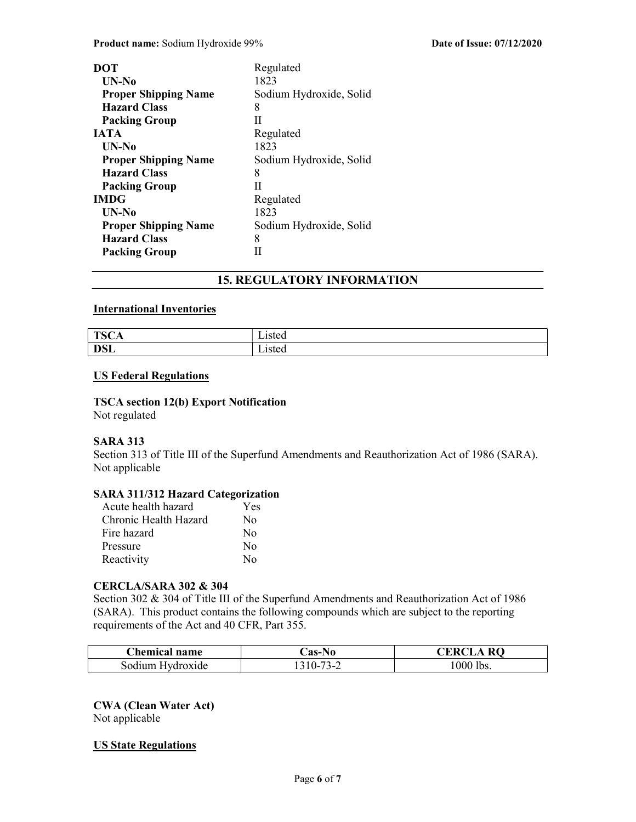| DOT                         | Regulated               |
|-----------------------------|-------------------------|
| UN-No                       | 1823                    |
| <b>Proper Shipping Name</b> | Sodium Hydroxide, Solid |
| <b>Hazard Class</b>         | 8                       |
| <b>Packing Group</b>        | Н                       |
| <b>JATA</b>                 | Regulated               |
| UN-No                       | 1823                    |
| <b>Proper Shipping Name</b> | Sodium Hydroxide, Solid |
| <b>Hazard Class</b>         | 8                       |
| <b>Packing Group</b>        | Н                       |
| <b>IMDG</b>                 | Regulated               |
| UN-No                       | 1823                    |
| <b>Proper Shipping Name</b> | Sodium Hydroxide, Solid |
| <b>Hazard Class</b>         | 8                       |
| <b>Packing Group</b>        | Н                       |

## 15. REGULATORY INFORMATION

## International Inventories

| $T0$ $\cap$         | - .    |
|---------------------|--------|
| 15CH                | ∟isted |
| DCI<br><b>D</b> oli | Listed |

## US Federal Regulations

### TSCA section 12(b) Export Notification Not regulated

## SARA 313

Section 313 of Title III of the Superfund Amendments and Reauthorization Act of 1986 (SARA). Not applicable

## SARA 311/312 Hazard Categorization

| Acute health hazard   | Yes      |
|-----------------------|----------|
| Chronic Health Hazard | No       |
| Fire hazard           | No       |
| Pressure              | $\rm No$ |
| Reactivity            | No       |

#### CERCLA/SARA 302 & 304

Section 302 & 304 of Title III of the Superfund Amendments and Reauthorization Act of 1986 (SARA). This product contains the following compounds which are subject to the reporting requirements of the Act and 40 CFR, Part 355.

| <b>Chemical name</b> | <b>Cas-No</b> | <b>CERCL</b><br><b>RO</b><br>۵A |
|----------------------|---------------|---------------------------------|
| Sodium Hydroxide     | $.310 - 77$   | $1000$ lbs.                     |

CWA (Clean Water Act) Not applicable

## US State Regulations